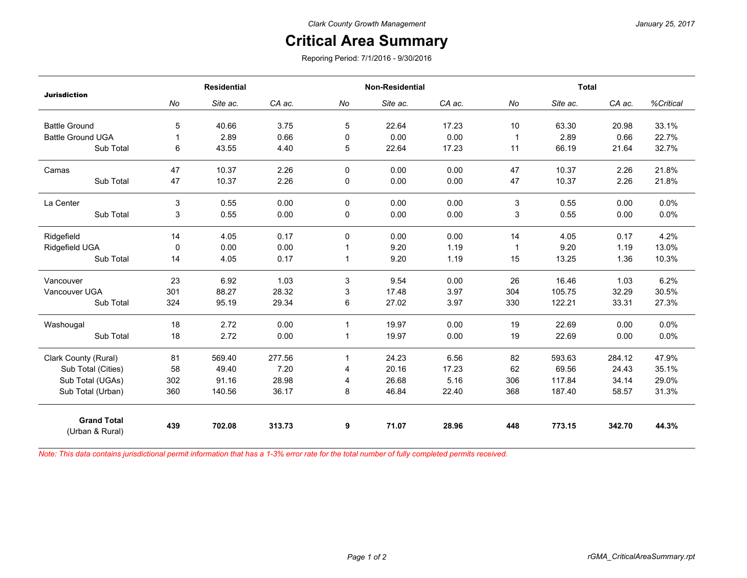## *January 25, 2017*

## **Critical Area Summary**

Reporing Period: 7/1/2016 - 9/30/2016

| <b>Residential</b> |          |                        | <b>Non-Residential</b> |             |                        | <b>Total</b>           |               |                        |                        |
|--------------------|----------|------------------------|------------------------|-------------|------------------------|------------------------|---------------|------------------------|------------------------|
| No                 | Site ac. | CA ac.                 | No                     | Site ac.    | CA ac.                 | No                     | Site ac.      | CA ac.                 | %Critical              |
|                    |          |                        |                        |             |                        |                        |               |                        |                        |
|                    |          |                        |                        |             |                        |                        |               |                        | 33.1%                  |
|                    |          |                        |                        |             |                        |                        |               |                        | 22.7%                  |
|                    |          |                        |                        |             |                        |                        |               |                        | 32.7%                  |
| 47                 | 10.37    | 2.26                   | 0                      | 0.00        | 0.00                   | 47                     | 10.37         | 2.26                   | 21.8%                  |
| 47                 | 10.37    | 2.26                   | 0                      | 0.00        | 0.00                   | 47                     | 10.37         | 2.26                   | 21.8%                  |
| 3                  | 0.55     | 0.00                   | 0                      | 0.00        | 0.00                   | 3                      | 0.55          | 0.00                   | 0.0%                   |
| 3                  | 0.55     | 0.00                   | 0                      | 0.00        | 0.00                   | 3                      | 0.55          | 0.00                   | 0.0%                   |
| 14                 | 4.05     | 0.17                   | 0                      | 0.00        | 0.00                   | 14                     | 4.05          | 0.17                   | 4.2%                   |
| $\Omega$           | 0.00     | 0.00                   |                        | 9.20        | 1.19                   | 1                      | 9.20          | 1.19                   | 13.0%                  |
| 14                 | 4.05     | 0.17                   | 1                      | 9.20        | 1.19                   | 15                     | 13.25         | 1.36                   | 10.3%                  |
| 23                 | 6.92     | 1.03                   | 3                      | 9.54        | 0.00                   | 26                     | 16.46         | 1.03                   | 6.2%                   |
| 301                | 88.27    | 28.32                  | 3                      | 17.48       | 3.97                   | 304                    | 105.75        | 32.29                  | 30.5%                  |
| 324                | 95.19    | 29.34                  | 6                      | 27.02       | 3.97                   | 330                    | 122.21        | 33.31                  | 27.3%                  |
| 18                 | 2.72     | 0.00                   | $\mathbf{1}$           | 19.97       | 0.00                   | 19                     | 22.69         | 0.00                   | 0.0%                   |
| 18                 | 2.72     | 0.00                   | 1                      | 19.97       | 0.00                   | 19                     | 22.69         | 0.00                   | 0.0%                   |
| 81                 | 569.40   | 277.56                 | 1                      | 24.23       | 6.56                   | 82                     | 593.63        | 284.12                 | 47.9%                  |
| 58                 | 49.40    | 7.20                   | 4                      | 20.16       | 17.23                  | 62                     | 69.56         | 24.43                  | 35.1%                  |
| 302                | 91.16    | 28.98                  | 4                      | 26.68       | 5.16                   | 306                    | 117.84        | 34.14                  | 29.0%                  |
| 360                | 140.56   | 36.17                  | 8                      | 46.84       | 22.40                  | 368                    | 187.40        | 58.57                  | 31.3%                  |
| 439                | 702.08   | 313.73                 | 9                      | 71.07       | 28.96                  | 448                    | 773.15        | 342.70                 | 44.3%                  |
|                    | 5<br>6   | 40.66<br>2.89<br>43.55 | 3.75<br>0.66<br>4.40   | 5<br>0<br>5 | 22.64<br>0.00<br>22.64 | 17.23<br>0.00<br>17.23 | 10<br>1<br>11 | 63.30<br>2.89<br>66.19 | 20.98<br>0.66<br>21.64 |

*Note: This data contains jurisdictional permit information that has a 1-3% error rate for the total number of fully completed permits received.*